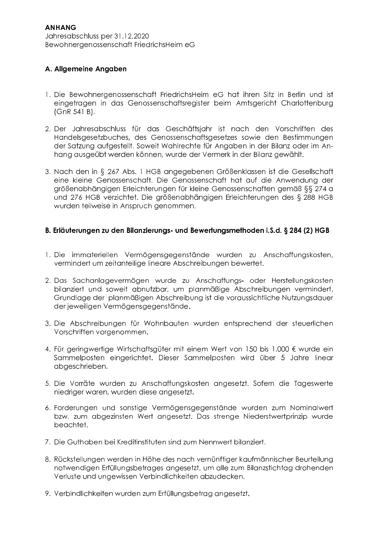## A. Allgemeine Angaben

- 1. Die Bewohnergenossenschaft FriedrichsHeim eG hat ihren Sitz in Berlin und ist eingetragen in das Genossenschaftsregister beim Amtsgericht Charlottenburg  $(GnR 541 B).$
- 2. Der Jahresabschluss für das Geschäftsjahr ist nach den Vorschriften des Handelsgesetzbuches, des Genossenschaftsgesetzes sowie den Bestimmungen der Satzung aufgestellt. Soweit Wahlrechte für Angaben in der Bilanz oder im Anhang ausgeübt werden können, wurde der Vermerk in der Bilanz gewählt.
- 3. Nach den in § 267 Abs. 1 HGB angegebenen Größenklassen ist die Gesellschaft eine kleine Genossenschaft. Die Genossenschaft hat auf die Anwendung der arößenabhängigen Erleichterungen für kleine Genossenschaften gemäß §§ 274 g und 276 HGB verzichtet. Die größenabhängigen Erleichterungen des § 288 HGB wurden teilweise in Anspruch genommen.

### B. Erläuterungen zu den Bilanzierungs- und Bewertungsmethoden i.S.d. § 284 (2) HGB

- 1. Die immateriellen Vermögensgegenstände wurden zu Anschaffungskosten, vermindert um zeitanteilige lineare Abschreibungen bewertet.
- 2. Das Sachanlagevermögen wurde zu Anschaffungs- oder Herstellungskosten bilanziert und soweit abnutzbar, um planmäßige Abschreibungen vermindert. Grundlage der planmäßigen Abschreibung ist die voraussichtliche Nutzungsdauer der jeweiligen Vermögensgegenstände.
- 3. Die Abschreibungen für Wohnbauten wurden entsprechend der steuerlichen Vorschriften vorgenommen.
- 4. Für geringwertige Wirtschaftsgüter mit einem Wert von 150 bis 1.000 € wurde ein Sammelposten eingerichtet. Dieser Sammelposten wird über 5 Jahre linear abgeschrieben.
- 5. Die Vorräte wurden zu Anschaffungskosten angesetzt. Sofem die Tageswerte niedriger waren, wurden diese angesetzt.
- 6. Forderungen und sonstige Vermögensgegenstände wurden zum Nominalwert bzw. zum abgezinsten Wert angesetzt. Das strenge Niederstwertprinzip wurde beachtet.
- 7. Die Guthaben bei Kreditinstituten sind zum Nennwert bilanziert.
- 8. Rückstellungen werden in Höhe des nach vernünftiger kaufmännischer Beurteilung notwendigen Erfüllungsbetrages angesetzt, um alle zum Bilanzstichtag drohenden Verluste und ungewissen Verbindlichkeiten abzudecken.
- 9. Verbindlichkeiten wurden zum Erfüllungsbetrag angesetzt.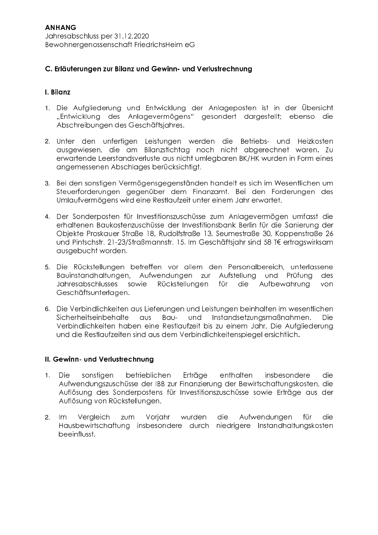#### C. Erläuterungen zur Bilanz und Gewinn- und Verlustrechnung

#### I. Bilanz

- 1. Die Aufgliederung und Entwicklung der Anlageposten ist in der Übersicht "Entwicklung des Anlagevermögens" gesondert dargestellt; ebenso die Abschreibungen des Geschäftsjahres.
- 2. Unter den unfertigen Leistungen werden die Betriebs- und Heizkosten ausgewiesen, die am Bilanzstichtag noch nicht abgerechnet waren. Zu erwartende Leerstandsverluste aus nicht umlegbaren BK/HK wurden in Form eines angemessenen Abschlages berücksichtigt.
- 3. Bei den sonstigen Vermögensgegenständen handelt es sich im Wesentlichen um Steuerforderungen gegenüber dem Finanzamt. Bei den Forderungen des Umlaufvermögens wird eine Restlaufzeit unter einem Jahr erwartet.
- 4. Der Sonderposten für Investitionszuschüsse zum Anlagevermögen umfasst die erhaltenen Baukostenzuschüsse der Investitionsbank Berlin für die Sanierung der Objekte Proskauer Straße 18, Rudolfstraße 13, Seumestraße 30, Koppenstraße 26 und Pintschstr. 21-23/Straßmannstr. 15. Im Geschäftsjahr sind 58 T€ ertragswirksam ausgebucht worden.
- 5. Die Rückstellungen betreffen vor allem den Personalbereich, unterlassene Bauinstandhaltungen, Aufwendungen zur Aufstellung und Prüfung des **Jahresabschlusses** sowie Rückstellungen für die Aufbewahruna von Geschäftsunterlagen.
- 6. Die Verbindlichkeiten aus Lieferungen und Leistungen beinhalten im wesentlichen Sicherheitseinbehalte aus Bauund Instandsetzungsmaßnahmen. Die i Verbindlichkeiten haben eine Restlaufzeit bis zu einem Jahr. Die Aufgliederung und die Restlaufzeiten sind aus dem Verbindlichkeitenspiegel ersichtlich.

#### II. Gewinn- und Verlustrechnung

- **Die** sonstigen betrieblichen Erträge enthalten insbesondere die.  $1.$ Aufwendungszuschüsse der IBB zur Finanzierung der Bewirtschaftungskosten, die Auflösung des Sonderpostens für Investitionszuschüsse sowie Erträge aus der Auflösung von Rückstellungen.
- Voriahr wurden die Aufwendungen für die  $2.$  $Im$ Vergleich zum Hausbewirtschaftung insbesondere durch niedrigere Instandhaltungskosten beeinflusst.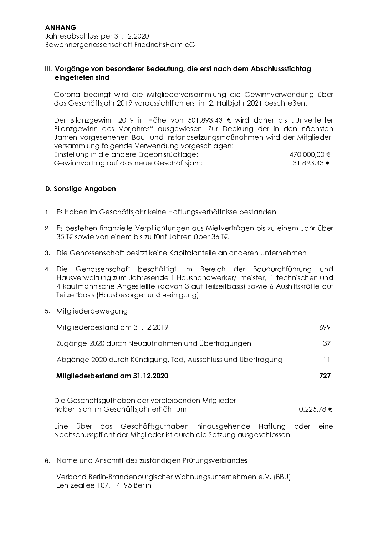#### III. Vorgänge von besonderer Bedeutung, die erst nach dem Abschlussstichtag eingetreten sind

Corona bedingt wird die Mitgliederversammlung die Gewinnverwendung über das Geschäftsjahr 2019 voraussichtlich erst im 2. Halbjahr 2021 beschließen.

Der Bilanzgewinn 2019 in Höhe von 501.893,43 € wird daher als "Unverteilter Bilanzgewinn des Vorjahres" ausgewiesen. Zur Deckung der in den nächsten Jahren vorgesehenen Bau- und Instandsetzungsmaßnahmen wird der Mitgliederversammlung folgende Verwendung vorgeschlagen: Einstellung in die andere Ergebnisrücklage: 470.000.00 € Gewinnvortrag auf das neue Geschäftsjahr: 31.893,43 €.

#### D. Sonstige Angaben

- 1. Es haben im Geschäftsjahr keine Haftungsverhältnisse bestanden.
- 2. Es bestehen finanzielle Verpflichtungen aus Mietverträgen bis zu einem Jahr über 35 T€ sowie von einem bis zu fünf Jahren über 36 T€.
- 3. Die Genossenschaft besitzt keine Kapitalanteile an anderen Unternehmen.
- 4. Die Genossenschaft beschäftigt im Bereich der Baudurchführung und Hausverwaltung zum Jahresende 1 Haushandwerker/-meister, 1 technischen und 4 kaufmännische Angestellte (davon 3 auf Teilzeitbasis) sowie 6 Aushilfskräfte auf Teilzeitbasis (Hausbesorger und -reinigung).
- 5. Mitgliederbewegung

| Mitgliederbestand am 31.12.2020                               | 797           |
|---------------------------------------------------------------|---------------|
| Abgänge 2020 durch Kündigung, Tod, Ausschluss und Übertragung | $\mathbf{11}$ |
| Zugänge 2020 durch Neuaufnahmen und Übertragungen             | 37.           |
| Mitgliederbestand am 31.12.2019                               | 699           |

Die Geschäftsguthaben der verbleibenden Mitglieder haben sich im Geschäftsjahr erhöht um 10.225.78 €

Eine über das Geschäftsguthaben hinausgehende Haftung oder eine Nachschusspflicht der Mitglieder ist durch die Satzung ausgeschlossen.

6. Name und Anschrift des zuständigen Prüfungsverbandes

Verband Berlin-Brandenburgischer Wohnungsunternehmen e.V. (BBU) Lentzeallee 107, 14195 Berlin